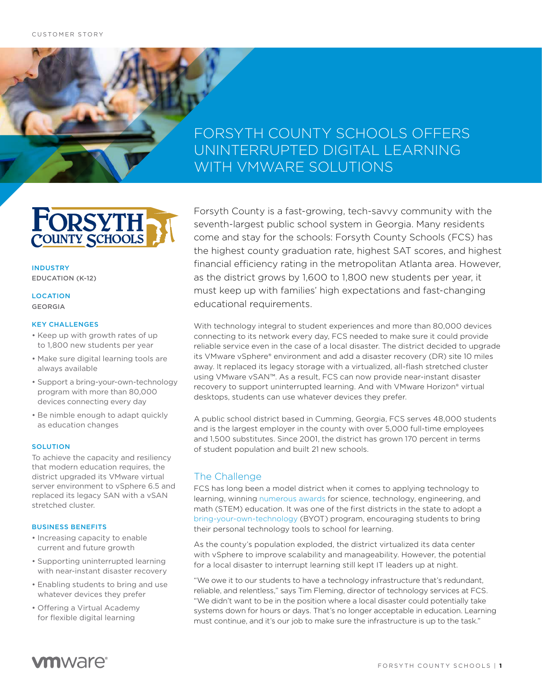# FORSYTH COUNTY SCHOOLS OFFERS UNINTERRUPTED DIGITAL LEARNING WITH VMWARE SOLUTIONS



INDUSTRY EDUCATION (K-12)

#### LOCATION GEORGIA

### KEY CHALLENGES

- Keep up with growth rates of up to 1,800 new students per year
- Make sure digital learning tools are always available
- Support a bring-your-own-technology program with more than 80,000 devices connecting every day
- Be nimble enough to adapt quickly as education changes

### **SOLUTION**

To achieve the capacity and resiliency that modern education requires, the district upgraded its VMware virtual server environment to vSphere 6.5 and replaced its legacy SAN with a vSAN stretched cluster.

#### BUSINESS BENEFITS

- Increasing capacity to enable current and future growth
- Supporting uninterrupted learning with near-instant disaster recovery
- Enabling students to bring and use whatever devices they prefer
- Offering a Virtual Academy for flexible digital learning

Forsyth County is a fast-growing, tech-savvy community with the seventh-largest public school system in Georgia. Many residents come and stay for the schools: Forsyth County Schools (FCS) has the highest county graduation rate, highest SAT scores, and highest financial efficiency rating in the metropolitan Atlanta area. However, as the district grows by 1,600 to 1,800 new students per year, it must keep up with families' high expectations and fast-changing educational requirements.

With technology integral to student experiences and more than 80,000 devices connecting to its network every day, FCS needed to make sure it could provide reliable service even in the case of a local disaster. The district decided to upgrade its VMware vSphere® environment and add a disaster recovery (DR) site 10 miles away. It replaced its legacy storage with a virtualized, all-flash stretched cluster using VMware vSAN™. As a result, FCS can now provide near-instant disaster recovery to support uninterrupted learning. And with VMware Horizon® virtual desktops, students can use whatever devices they prefer.

A public school district based in Cumming, Georgia, FCS serves 48,000 students and is the largest employer in the county with over 5,000 full-time employees and 1,500 substitutes. Since 2001, the district has grown 170 percent in terms of student population and built 21 new schools.

# The Challenge

FCS has long been a model district when it comes to applying technology to learning, winning [numerous awards](https://www.forsyth.k12.ga.us/site/Default.aspx?PageID=516) for science, technology, engineering, and math (STEM) education. It was one of the first districts in the state to adopt a [bring-your-own-technology](https://www.forsyth.k12.ga.us/byot) (BYOT) program, encouraging students to bring their personal technology tools to school for learning.

As the county's population exploded, the district virtualized its data center with vSphere to improve scalability and manageability. However, the potential for a local disaster to interrupt learning still kept IT leaders up at night.

"We owe it to our students to have a technology infrastructure that's redundant, reliable, and relentless," says Tim Fleming, director of technology services at FCS. "We didn't want to be in the position where a local disaster could potentially take systems down for hours or days. That's no longer acceptable in education. Learning must continue, and it's our job to make sure the infrastructure is up to the task."

# **vm**ware<sup>®</sup>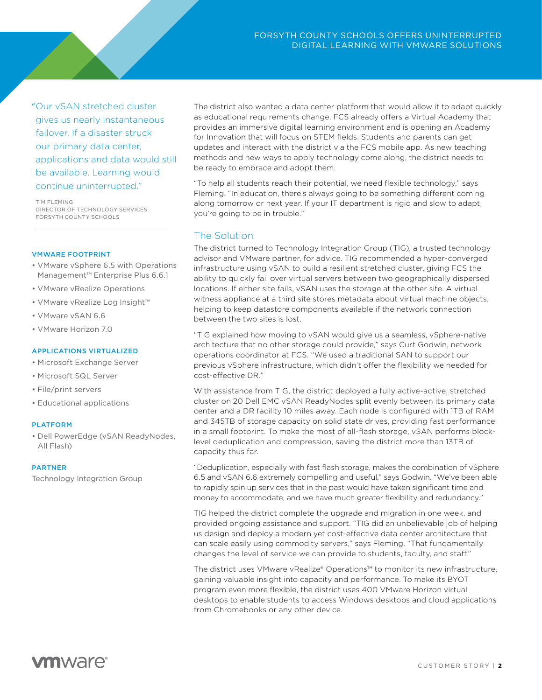"Our vSAN stretched cluster gives us nearly instantaneous failover. If a disaster struck our primary data center, applications and data would still be available. Learning would continue uninterrupted."

TIM FLEMING DIRECTOR OF TECHNOLOGY SERVICES FORSYTH COUNTY SCHOOLS

#### VMWARE FOOTPRINT

- VMware vSphere 6.5 with Operations Management™ Enterprise Plus 6.6.1
- VMware vRealize Operations
- VMware vRealize Log Insight™
- VMware vSAN 6.6
- VMware Horizon 7.0

### APPLICATIONS VIRTUALIZED

- Microsoft Exchange Server
- Microsoft SQL Server
- File/print servers
- Educational applications

#### PLATFORM

• Dell PowerEdge (vSAN ReadyNodes, All Flash)

#### PARTNER

[Technology Integration Group](https://www.tig.com/)

The district also wanted a data center platform that would allow it to adapt quickly as educational requirements change. FCS already offers a Virtual Academy that provides an immersive digital learning environment and is opening an Academy for Innovation that will focus on STEM fields. Students and parents can get updates and interact with the district via the FCS mobile app. As new teaching methods and new ways to apply technology come along, the district needs to be ready to embrace and adopt them.

"To help all students reach their potential, we need flexible technology," says Fleming. "In education, there's always going to be something different coming along tomorrow or next year. If your IT department is rigid and slow to adapt, you're going to be in trouble."

# The Solution

The district turned to Technology Integration Group (TIG), a trusted technology advisor and VMware partner, for advice. TIG recommended a hyper-converged infrastructure using vSAN to build a resilient stretched cluster, giving FCS the ability to quickly fail over virtual servers between two geographically dispersed locations. If either site fails, vSAN uses the storage at the other site. A virtual witness appliance at a third site stores metadata about virtual machine objects, helping to keep datastore components available if the network connection between the two sites is lost.

"TIG explained how moving to vSAN would give us a seamless, vSphere-native architecture that no other storage could provide," says Curt Godwin, network operations coordinator at FCS. "We used a traditional SAN to support our previous vSphere infrastructure, which didn't offer the flexibility we needed for cost-effective DR."

With assistance from TIG, the district deployed a fully active-active, stretched cluster on 20 Dell EMC vSAN ReadyNodes split evenly between its primary data center and a DR facility 10 miles away. Each node is configured with 1TB of RAM and 345TB of storage capacity on solid state drives, providing fast performance in a small footprint. To make the most of all-flash storage, vSAN performs blocklevel deduplication and compression, saving the district more than 13TB of capacity thus far.

"Deduplication, especially with fast flash storage, makes the combination of vSphere 6.5 and vSAN 6.6 extremely compelling and useful," says Godwin. "We've been able to rapidly spin up services that in the past would have taken significant time and money to accommodate, and we have much greater flexibility and redundancy."

TIG helped the district complete the upgrade and migration in one week, and provided ongoing assistance and support. "TIG did an unbelievable job of helping us design and deploy a modern yet cost-effective data center architecture that can scale easily using commodity servers," says Fleming. "That fundamentally changes the level of service we can provide to students, faculty, and staff."

The district uses VMware vRealize® Operations™ to monitor its new infrastructure, gaining valuable insight into capacity and performance. To make its BYOT program even more flexible, the district uses 400 VMware Horizon virtual desktops to enable students to access Windows desktops and cloud applications from Chromebooks or any other device.